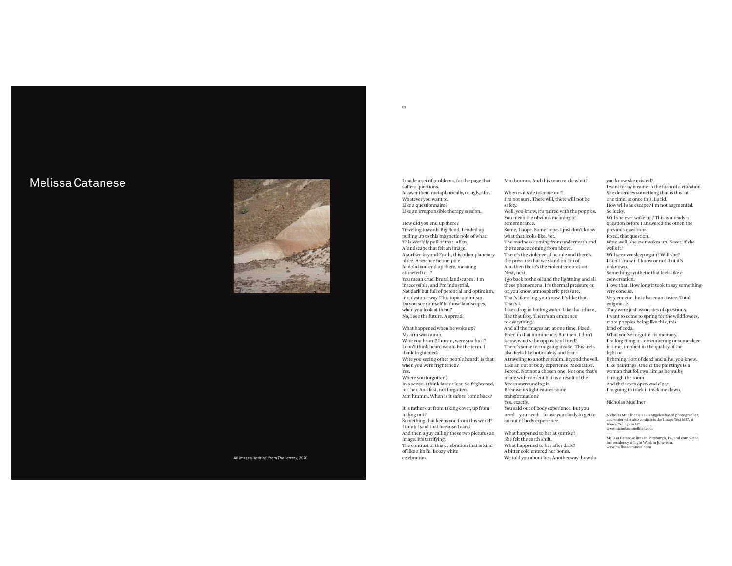

All images *Untitled*, from *The Lottery*, 2020

suffers questions. Answer them metaphorically, or ugly, afar. Whatever you want to. Like a questionnaire?

Like an irresponsible therapy session.

 $69$ 

How did you end up there? Traveling towards Big Bend, I ended up pulling up to this magnetic pole of what. This Worldly pull of that. Alien. A landscape that felt an image. A surface beyond Earth, this other planetary place. A science fiction pole. And did you end up there, meaning attracted to 2 You mean cruel brutal landscapes? I'm inaccessible, and I'm industrial. Not dark but full of potential and optimism, in a dystopic way. This topic optimism. Do you see yourself in those landscapes, when you look at them? No, I see the future. A spread.

What happened when he woke up? My arm was numb. Were you heard? I mean, were you hurt? I don't think heard would be the term. I think frightened. Were you seeing other people heard? Is that when you were frightened? Yes. Where you forgotten? In a sense. I think last or lost. So frightened, not her. And last, not forgotten. Mm hmmm. When is it safe to come back? It is rather out from taking cover, up from

hiding out? Something that keeps you from this world? I think I said that because I can't. And then a guy calling these two pictures an image. It's terrifying. The contrast of this celebration that is kind of like a knife. Boozy white celebration.

Mm hmmm. And this man made what?

When is it safe to come out? I'm not sure. There will, there will not be safety. Well, you know, it's paired with the poppies. You mean the obvious meaning of remembrance. Some, I hope. Some hope. I just don't know what that looks like. Yet. The madness coming from underneath and the menace coming from above. There's the violence of people and there's the pressure that we stand on top of. And then there's the violent celebration. Next, next. I go back to the oil and the lightning and all these phenomena. It's thermal pressure or, or, you know, atmospheric pressure. That's like a big, you know. It's like that. That's I. Like a frog in boiling water. Like that idiom, like that frog. There's an eminence to everything. And all the images are at one time. Fixed. Fixed in that imminence. But then, I don't know, what's the opposite of fixed? There's some terror going inside. This feels also feels like both safety and fear. A traveling to another realm. Beyond the veil. Like an out of body experience. Meditative. Forced. Not not a chosen one. Not one that's made with consent but as a result of the forces surrounding it. Because its light causes some transformation? Yes, exactly. You said out of body experience. But you need—you need—to use your body to get to an out of body experience.

What happened to her at sunrise? She felt the earth shift. What happened to her after dark? A bitter cold entered her bones. We told you about her. Another way: how do How will she escape? I'm not augmented. So lucky. Will she ever wake up? This is already a question before I answered the other, the previous questions. Fixed, that question. Wow, well, she ever wakes up. Never. If she wells it? Will see ever sleep again? Will she? I don't know if I know or not, but it's unknown. Something synthetic that feels like a conversation. I love that. How long it took to say something very concise. Very concise, but also count twice. Total enigmatic. They were just associates of questions. I want to come to spring for the wildflowers, more poppies being like this, this kind of coda. What you've forgotten is memory. I'm forgetting or remembering or someplace in time, implicit in the quality of the light or lightning. Sort of dead and alive, you know. Like paintings. One of the paintings is a woman that follows him as he walks through the room. And their eyes open and close. I'm going to track it track me down. Nicholas Muellner Nicholas Muellner is a Los Angeles-based photographer and writer who also co-directs the Image Text MFA at Ithaca College in NY.

you know she existed?

I want to say it came in the form of a vibration. She describes something that is this, at one time, at once this. Lucid.

www.nicholasmuellner.com — Melissa Catanese lives in Pittsburgh, PA, and completed

her residency at Light Work in June 2021. www.melissacatanese.com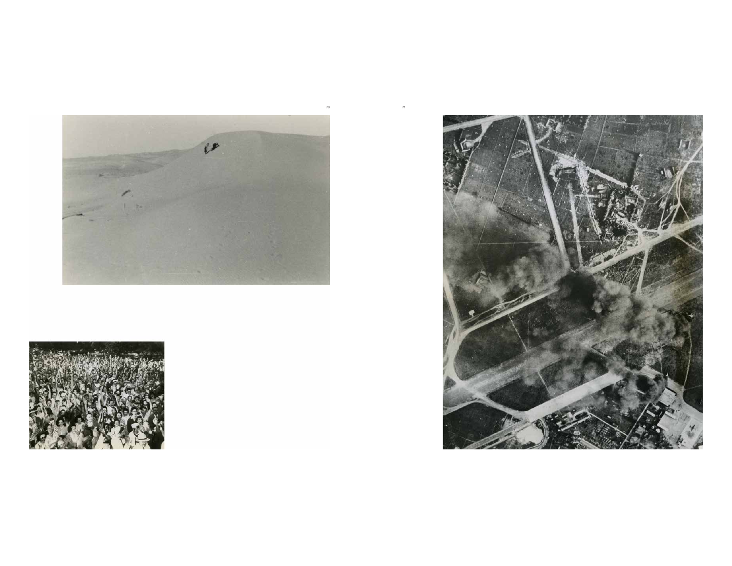



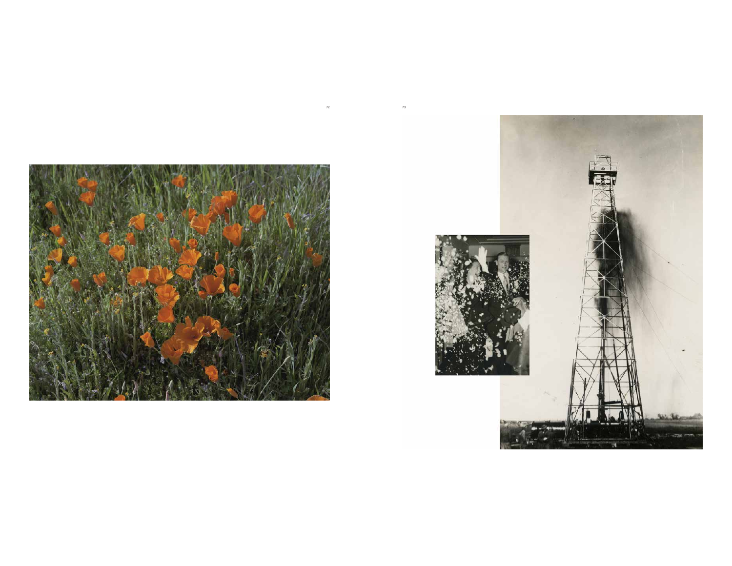

73